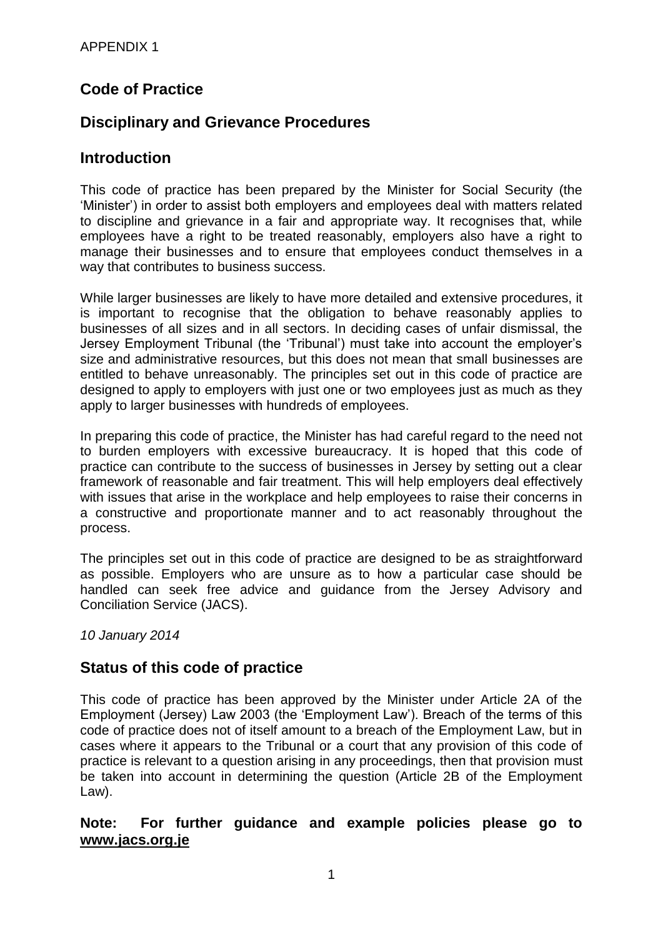# **Code of Practice**

# **Disciplinary and Grievance Procedures**

#### **Introduction**

This code of practice has been prepared by the Minister for Social Security (the 'Minister') in order to assist both employers and employees deal with matters related to discipline and grievance in a fair and appropriate way. It recognises that, while employees have a right to be treated reasonably, employers also have a right to manage their businesses and to ensure that employees conduct themselves in a way that contributes to business success.

While larger businesses are likely to have more detailed and extensive procedures, it is important to recognise that the obligation to behave reasonably applies to businesses of all sizes and in all sectors. In deciding cases of unfair dismissal, the Jersey Employment Tribunal (the 'Tribunal') must take into account the employer's size and administrative resources, but this does not mean that small businesses are entitled to behave unreasonably. The principles set out in this code of practice are designed to apply to employers with just one or two employees just as much as they apply to larger businesses with hundreds of employees.

In preparing this code of practice, the Minister has had careful regard to the need not to burden employers with excessive bureaucracy. It is hoped that this code of practice can contribute to the success of businesses in Jersey by setting out a clear framework of reasonable and fair treatment. This will help employers deal effectively with issues that arise in the workplace and help employees to raise their concerns in a constructive and proportionate manner and to act reasonably throughout the process.

The principles set out in this code of practice are designed to be as straightforward as possible. Employers who are unsure as to how a particular case should be handled can seek free advice and guidance from the Jersey Advisory and Conciliation Service (JACS).

*10 January 2014*

## **Status of this code of practice**

This code of practice has been approved by the Minister under Article 2A of the Employment (Jersey) Law 2003 (the 'Employment Law'). Breach of the terms of this code of practice does not of itself amount to a breach of the Employment Law, but in cases where it appears to the Tribunal or a court that any provision of this code of practice is relevant to a question arising in any proceedings, then that provision must be taken into account in determining the question (Article 2B of the Employment Law).

#### **Note: For further guidance and example policies please go to [www.jacs.org.je](http://www.jacs.org.je/)**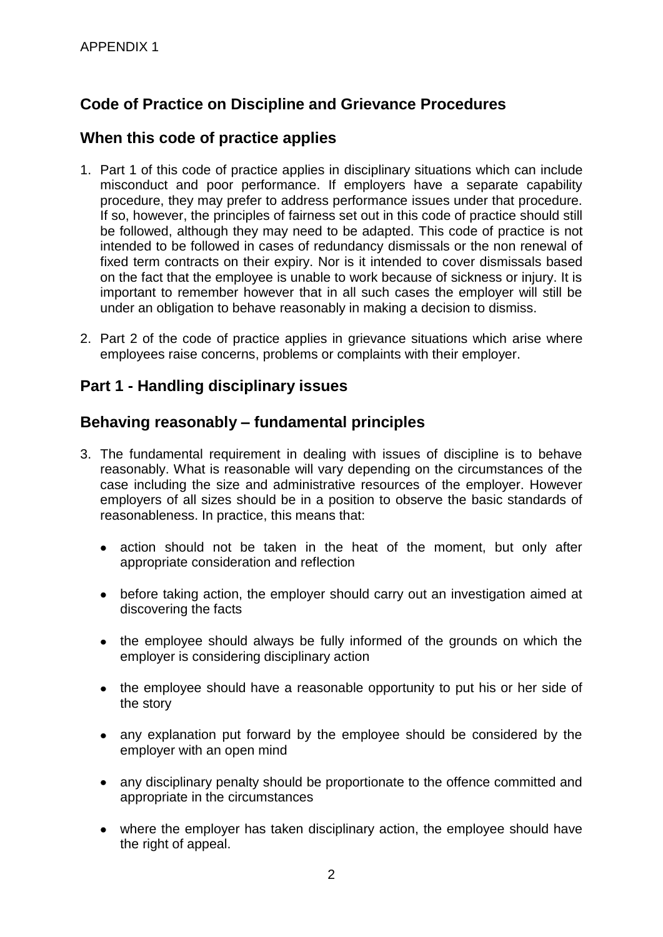# **Code of Practice on Discipline and Grievance Procedures**

#### **When this code of practice applies**

- 1. Part 1 of this code of practice applies in disciplinary situations which can include misconduct and poor performance. If employers have a separate capability procedure, they may prefer to address performance issues under that procedure. If so, however, the principles of fairness set out in this code of practice should still be followed, although they may need to be adapted. This code of practice is not intended to be followed in cases of redundancy dismissals or the non renewal of fixed term contracts on their expiry. Nor is it intended to cover dismissals based on the fact that the employee is unable to work because of sickness or injury. It is important to remember however that in all such cases the employer will still be under an obligation to behave reasonably in making a decision to dismiss.
- 2. Part 2 of the code of practice applies in grievance situations which arise where employees raise concerns, problems or complaints with their employer.

#### **Part 1 - Handling disciplinary issues**

#### **Behaving reasonably – fundamental principles**

- 3. The fundamental requirement in dealing with issues of discipline is to behave reasonably. What is reasonable will vary depending on the circumstances of the case including the size and administrative resources of the employer. However employers of all sizes should be in a position to observe the basic standards of reasonableness. In practice, this means that:
	- action should not be taken in the heat of the moment, but only after  $\bullet$ appropriate consideration and reflection
	- before taking action, the employer should carry out an investigation aimed at discovering the facts
	- the employee should always be fully informed of the grounds on which the employer is considering disciplinary action
	- the employee should have a reasonable opportunity to put his or her side of the story
	- any explanation put forward by the employee should be considered by the employer with an open mind
	- any disciplinary penalty should be proportionate to the offence committed and appropriate in the circumstances
	- where the employer has taken disciplinary action, the employee should have the right of appeal.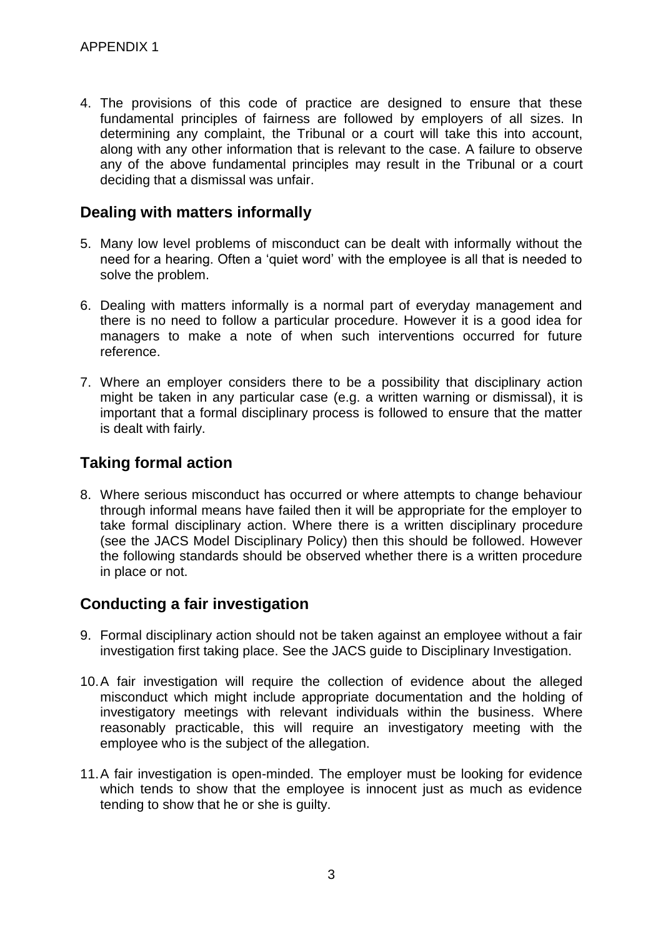4. The provisions of this code of practice are designed to ensure that these fundamental principles of fairness are followed by employers of all sizes. In determining any complaint, the Tribunal or a court will take this into account, along with any other information that is relevant to the case. A failure to observe any of the above fundamental principles may result in the Tribunal or a court deciding that a dismissal was unfair.

#### **Dealing with matters informally**

- 5. Many low level problems of misconduct can be dealt with informally without the need for a hearing. Often a 'quiet word' with the employee is all that is needed to solve the problem.
- 6. Dealing with matters informally is a normal part of everyday management and there is no need to follow a particular procedure. However it is a good idea for managers to make a note of when such interventions occurred for future reference.
- 7. Where an employer considers there to be a possibility that disciplinary action might be taken in any particular case (e.g. a written warning or dismissal), it is important that a formal disciplinary process is followed to ensure that the matter is dealt with fairly.

# **Taking formal action**

8. Where serious misconduct has occurred or where attempts to change behaviour through informal means have failed then it will be appropriate for the employer to take formal disciplinary action. Where there is a written disciplinary procedure (see the JACS Model Disciplinary Policy) then this should be followed. However the following standards should be observed whether there is a written procedure in place or not.

## **Conducting a fair investigation**

- 9. Formal disciplinary action should not be taken against an employee without a fair investigation first taking place. See the JACS guide to Disciplinary Investigation.
- 10.A fair investigation will require the collection of evidence about the alleged misconduct which might include appropriate documentation and the holding of investigatory meetings with relevant individuals within the business. Where reasonably practicable, this will require an investigatory meeting with the employee who is the subject of the allegation.
- 11.A fair investigation is open-minded. The employer must be looking for evidence which tends to show that the employee is innocent just as much as evidence tending to show that he or she is guilty.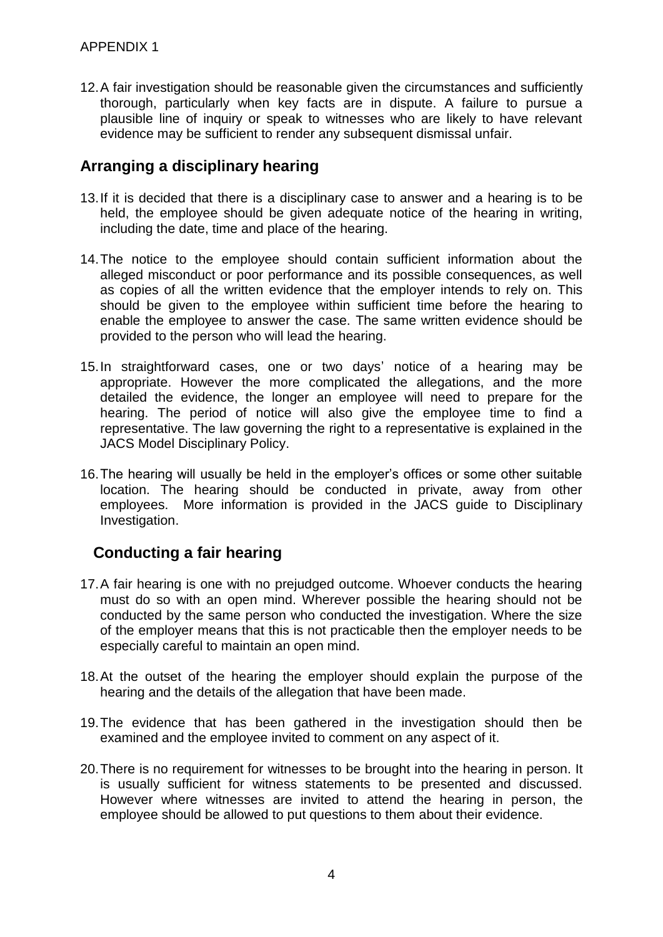12.A fair investigation should be reasonable given the circumstances and sufficiently thorough, particularly when key facts are in dispute. A failure to pursue a plausible line of inquiry or speak to witnesses who are likely to have relevant evidence may be sufficient to render any subsequent dismissal unfair.

## **Arranging a disciplinary hearing**

- 13.If it is decided that there is a disciplinary case to answer and a hearing is to be held, the employee should be given adequate notice of the hearing in writing, including the date, time and place of the hearing.
- 14.The notice to the employee should contain sufficient information about the alleged misconduct or poor performance and its possible consequences, as well as copies of all the written evidence that the employer intends to rely on. This should be given to the employee within sufficient time before the hearing to enable the employee to answer the case. The same written evidence should be provided to the person who will lead the hearing.
- 15.In straightforward cases, one or two days' notice of a hearing may be appropriate. However the more complicated the allegations, and the more detailed the evidence, the longer an employee will need to prepare for the hearing. The period of notice will also give the employee time to find a representative. The law governing the right to a representative is explained in the JACS Model Disciplinary Policy.
- 16.The hearing will usually be held in the employer's offices or some other suitable location. The hearing should be conducted in private, away from other employees. More information is provided in the JACS guide to Disciplinary Investigation.

## **Conducting a fair hearing**

- 17.A fair hearing is one with no prejudged outcome. Whoever conducts the hearing must do so with an open mind. Wherever possible the hearing should not be conducted by the same person who conducted the investigation. Where the size of the employer means that this is not practicable then the employer needs to be especially careful to maintain an open mind.
- 18.At the outset of the hearing the employer should explain the purpose of the hearing and the details of the allegation that have been made.
- 19.The evidence that has been gathered in the investigation should then be examined and the employee invited to comment on any aspect of it.
- 20.There is no requirement for witnesses to be brought into the hearing in person. It is usually sufficient for witness statements to be presented and discussed. However where witnesses are invited to attend the hearing in person, the employee should be allowed to put questions to them about their evidence.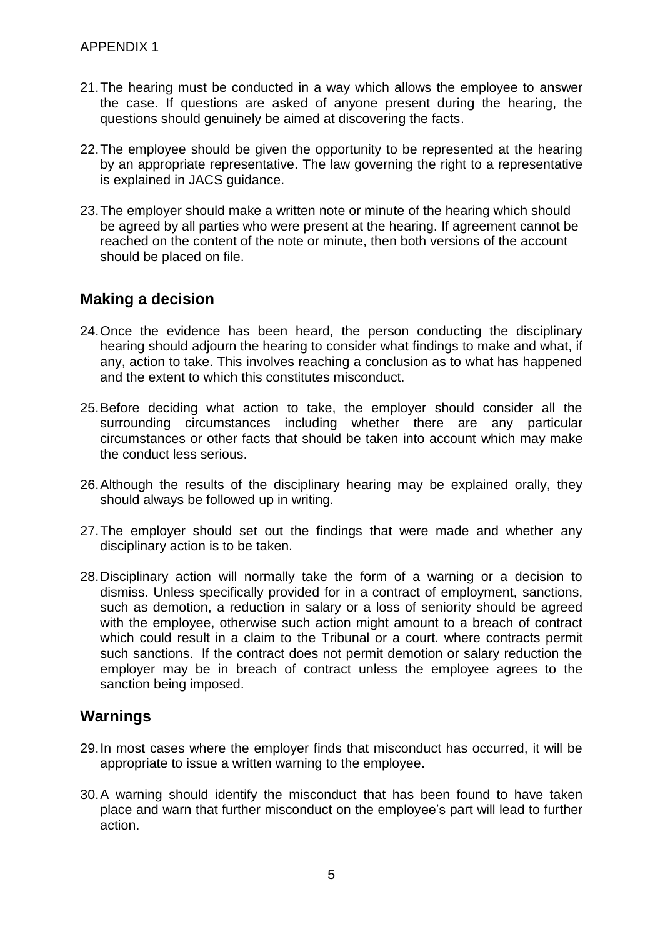- 21.The hearing must be conducted in a way which allows the employee to answer the case. If questions are asked of anyone present during the hearing, the questions should genuinely be aimed at discovering the facts.
- 22.The employee should be given the opportunity to be represented at the hearing by an appropriate representative. The law governing the right to a representative is explained in JACS guidance.
- 23.The employer should make a written note or minute of the hearing which should be agreed by all parties who were present at the hearing. If agreement cannot be reached on the content of the note or minute, then both versions of the account should be placed on file.

#### **Making a decision**

- 24.Once the evidence has been heard, the person conducting the disciplinary hearing should adjourn the hearing to consider what findings to make and what, if any, action to take. This involves reaching a conclusion as to what has happened and the extent to which this constitutes misconduct.
- 25.Before deciding what action to take, the employer should consider all the surrounding circumstances including whether there are any particular circumstances or other facts that should be taken into account which may make the conduct less serious.
- 26.Although the results of the disciplinary hearing may be explained orally, they should always be followed up in writing.
- 27.The employer should set out the findings that were made and whether any disciplinary action is to be taken.
- 28.Disciplinary action will normally take the form of a warning or a decision to dismiss. Unless specifically provided for in a contract of employment, sanctions, such as demotion, a reduction in salary or a loss of seniority should be agreed with the employee, otherwise such action might amount to a breach of contract which could result in a claim to the Tribunal or a court. where contracts permit such sanctions. If the contract does not permit demotion or salary reduction the employer may be in breach of contract unless the employee agrees to the sanction being imposed.

#### **Warnings**

- 29.In most cases where the employer finds that misconduct has occurred, it will be appropriate to issue a written warning to the employee.
- 30.A warning should identify the misconduct that has been found to have taken place and warn that further misconduct on the employee's part will lead to further action.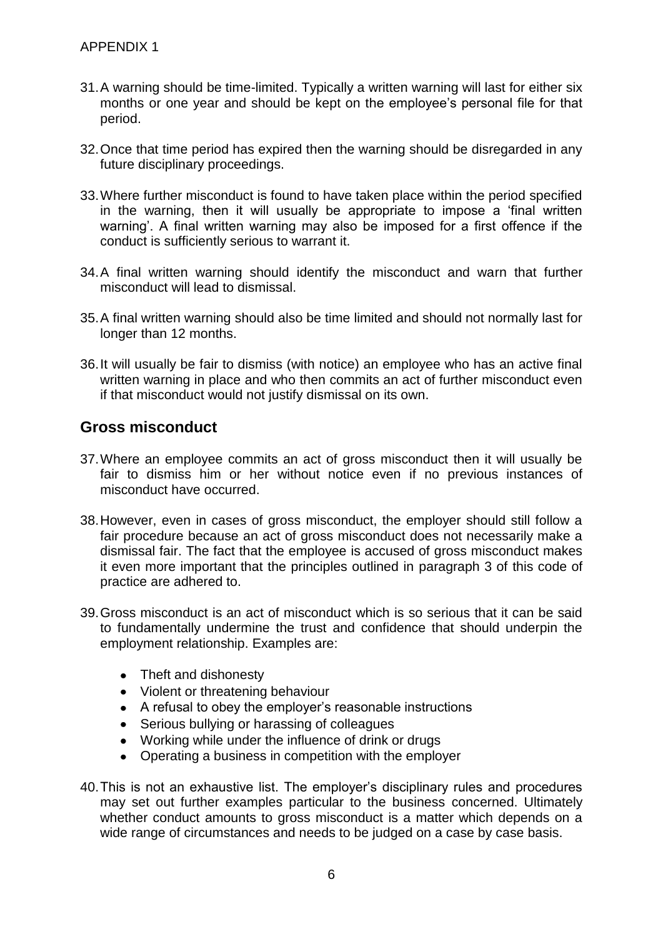- 31.A warning should be time-limited. Typically a written warning will last for either six months or one year and should be kept on the employee's personal file for that period.
- 32.Once that time period has expired then the warning should be disregarded in any future disciplinary proceedings.
- 33.Where further misconduct is found to have taken place within the period specified in the warning, then it will usually be appropriate to impose a 'final written warning'. A final written warning may also be imposed for a first offence if the conduct is sufficiently serious to warrant it.
- 34.A final written warning should identify the misconduct and warn that further misconduct will lead to dismissal.
- 35.A final written warning should also be time limited and should not normally last for longer than 12 months.
- 36.It will usually be fair to dismiss (with notice) an employee who has an active final written warning in place and who then commits an act of further misconduct even if that misconduct would not justify dismissal on its own.

#### **Gross misconduct**

- 37.Where an employee commits an act of gross misconduct then it will usually be fair to dismiss him or her without notice even if no previous instances of misconduct have occurred.
- 38.However, even in cases of gross misconduct, the employer should still follow a fair procedure because an act of gross misconduct does not necessarily make a dismissal fair. The fact that the employee is accused of gross misconduct makes it even more important that the principles outlined in paragraph 3 of this code of practice are adhered to.
- 39.Gross misconduct is an act of misconduct which is so serious that it can be said to fundamentally undermine the trust and confidence that should underpin the employment relationship. Examples are:
	- Theft and dishonesty
	- Violent or threatening behaviour
	- A refusal to obey the employer's reasonable instructions
	- Serious bullying or harassing of colleagues
	- Working while under the influence of drink or drugs
	- Operating a business in competition with the employer
- 40.This is not an exhaustive list. The employer's disciplinary rules and procedures may set out further examples particular to the business concerned. Ultimately whether conduct amounts to gross misconduct is a matter which depends on a wide range of circumstances and needs to be judged on a case by case basis.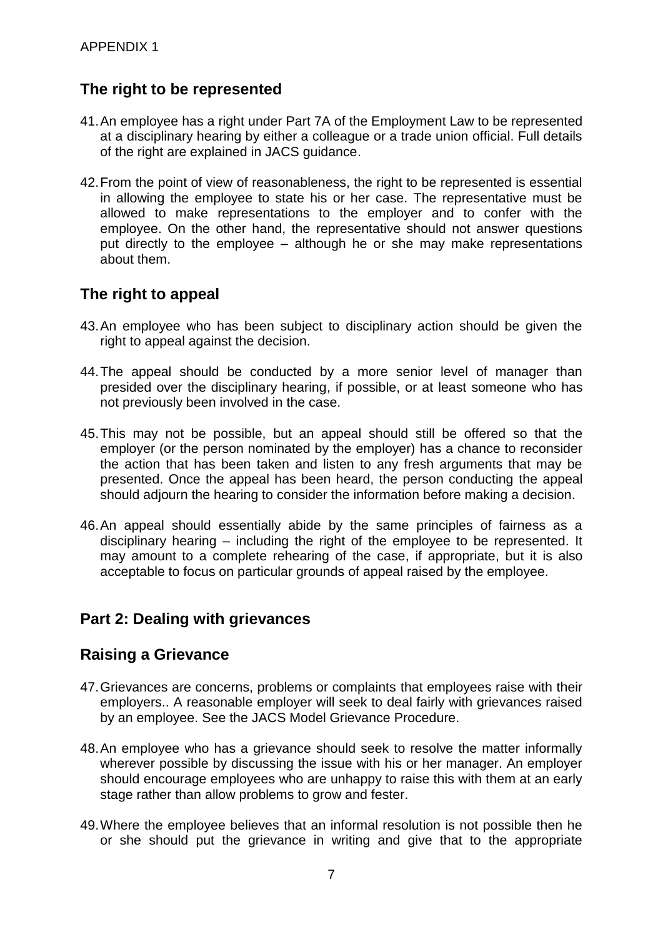# **The right to be represented**

- 41.An employee has a right under Part 7A of the Employment Law to be represented at a disciplinary hearing by either a colleague or a trade union official. Full details of the right are explained in JACS guidance.
- 42. From the point of view of reasonableness, the right to be represented is essential in allowing the employee to state his or her case. The representative must be allowed to make representations to the employer and to confer with the employee. On the other hand, the representative should not answer questions put directly to the employee – although he or she may make representations about them.

## **The right to appeal**

- 43.An employee who has been subject to disciplinary action should be given the right to appeal against the decision.
- 44.The appeal should be conducted by a more senior level of manager than presided over the disciplinary hearing, if possible, or at least someone who has not previously been involved in the case.
- 45.This may not be possible, but an appeal should still be offered so that the employer (or the person nominated by the employer) has a chance to reconsider the action that has been taken and listen to any fresh arguments that may be presented. Once the appeal has been heard, the person conducting the appeal should adjourn the hearing to consider the information before making a decision.
- 46.An appeal should essentially abide by the same principles of fairness as a disciplinary hearing – including the right of the employee to be represented. It may amount to a complete rehearing of the case, if appropriate, but it is also acceptable to focus on particular grounds of appeal raised by the employee.

## **Part 2: Dealing with grievances**

## **Raising a Grievance**

- 47.Grievances are concerns, problems or complaints that employees raise with their employers.. A reasonable employer will seek to deal fairly with grievances raised by an employee. See the JACS Model Grievance Procedure.
- 48.An employee who has a grievance should seek to resolve the matter informally wherever possible by discussing the issue with his or her manager. An employer should encourage employees who are unhappy to raise this with them at an early stage rather than allow problems to grow and fester.
- 49.Where the employee believes that an informal resolution is not possible then he or she should put the grievance in writing and give that to the appropriate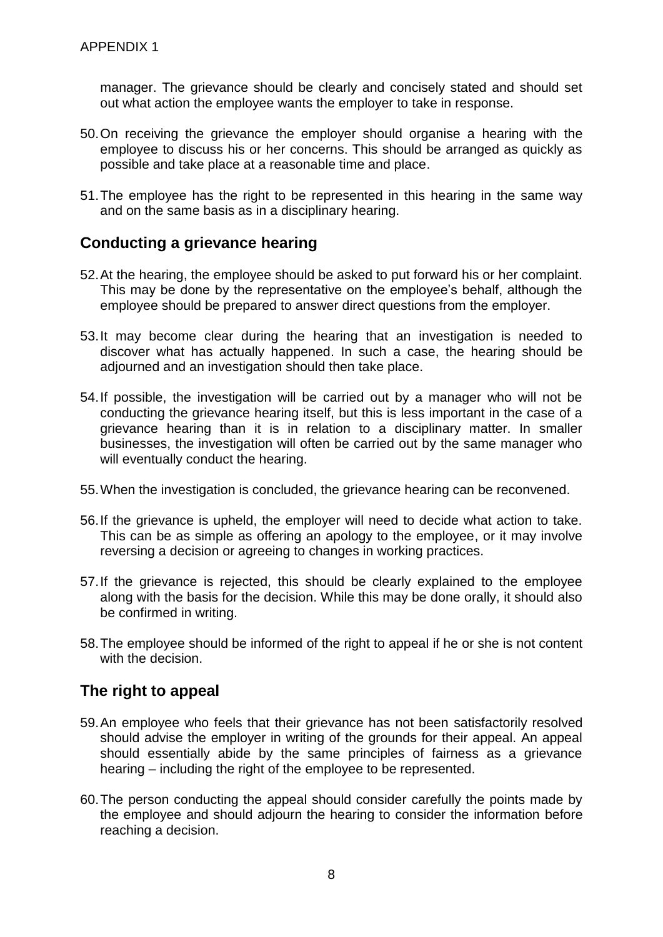manager. The grievance should be clearly and concisely stated and should set out what action the employee wants the employer to take in response.

- 50.On receiving the grievance the employer should organise a hearing with the employee to discuss his or her concerns. This should be arranged as quickly as possible and take place at a reasonable time and place.
- 51.The employee has the right to be represented in this hearing in the same way and on the same basis as in a disciplinary hearing.

#### **Conducting a grievance hearing**

- 52.At the hearing, the employee should be asked to put forward his or her complaint. This may be done by the representative on the employee's behalf, although the employee should be prepared to answer direct questions from the employer.
- 53.It may become clear during the hearing that an investigation is needed to discover what has actually happened. In such a case, the hearing should be adjourned and an investigation should then take place.
- 54.If possible, the investigation will be carried out by a manager who will not be conducting the grievance hearing itself, but this is less important in the case of a grievance hearing than it is in relation to a disciplinary matter. In smaller businesses, the investigation will often be carried out by the same manager who will eventually conduct the hearing.
- 55.When the investigation is concluded, the grievance hearing can be reconvened.
- 56.If the grievance is upheld, the employer will need to decide what action to take. This can be as simple as offering an apology to the employee, or it may involve reversing a decision or agreeing to changes in working practices.
- 57.If the grievance is rejected, this should be clearly explained to the employee along with the basis for the decision. While this may be done orally, it should also be confirmed in writing.
- 58.The employee should be informed of the right to appeal if he or she is not content with the decision.

#### **The right to appeal**

- 59.An employee who feels that their grievance has not been satisfactorily resolved should advise the employer in writing of the grounds for their appeal. An appeal should essentially abide by the same principles of fairness as a grievance hearing – including the right of the employee to be represented.
- 60.The person conducting the appeal should consider carefully the points made by the employee and should adjourn the hearing to consider the information before reaching a decision.